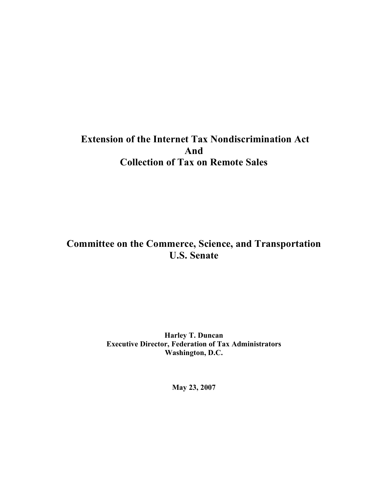# **Extension of the Internet Tax Nondiscrimination Act And Collection of Tax on Remote Sales**

# **Committee on the Commerce, Science, and Transportation U.S. Senate**

**Harley T. Duncan Executive Director, Federation of Tax Administrators Washington, D.C.**

**May 23, 2007**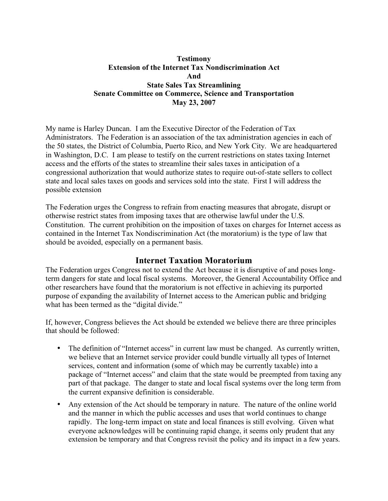### **Testimony Extension of the Internet Tax Nondiscrimination Act And State Sales Tax Streamlining Senate Committee on Commerce, Science and Transportation May 23, 2007**

My name is Harley Duncan. I am the Executive Director of the Federation of Tax Administrators. The Federation is an association of the tax administration agencies in each of the 50 states, the District of Columbia, Puerto Rico, and New York City. We are headquartered in Washington, D.C. I am please to testify on the current restrictions on states taxing Internet access and the efforts of the states to streamline their sales taxes in anticipation of a congressional authorization that would authorize states to require out-of-state sellers to collect state and local sales taxes on goods and services sold into the state. First I will address the possible extension

The Federation urges the Congress to refrain from enacting measures that abrogate, disrupt or otherwise restrict states from imposing taxes that are otherwise lawful under the U.S. Constitution. The current prohibition on the imposition of taxes on charges for Internet access as contained in the Internet Tax Nondiscrimination Act (the moratorium) is the type of law that should be avoided, especially on a permanent basis.

## **Internet Taxation Moratorium**

The Federation urges Congress not to extend the Act because it is disruptive of and poses longterm dangers for state and local fiscal systems. Moreover, the General Accountability Office and other researchers have found that the moratorium is not effective in achieving its purported purpose of expanding the availability of Internet access to the American public and bridging what has been termed as the "digital divide."

If, however, Congress believes the Act should be extended we believe there are three principles that should be followed:

- The definition of "Internet access" in current law must be changed. As currently written, we believe that an Internet service provider could bundle virtually all types of Internet services, content and information (some of which may be currently taxable) into a package of "Internet access" and claim that the state would be preempted from taxing any part of that package. The danger to state and local fiscal systems over the long term from the current expansive definition is considerable.
- Any extension of the Act should be temporary in nature. The nature of the online world and the manner in which the public accesses and uses that world continues to change rapidly. The long-term impact on state and local finances is still evolving. Given what everyone acknowledges will be continuing rapid change, it seems only prudent that any extension be temporary and that Congress revisit the policy and its impact in a few years.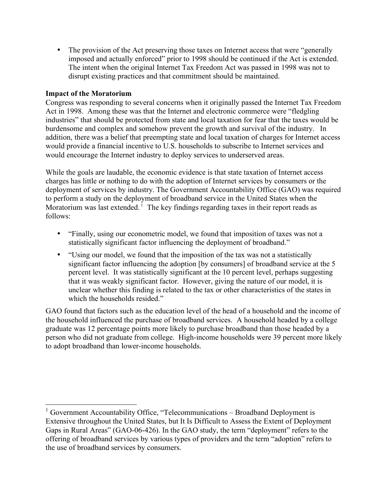• The provision of the Act preserving those taxes on Internet access that were "generally" imposed and actually enforced" prior to 1998 should be continued if the Act is extended. The intent when the original Internet Tax Freedom Act was passed in 1998 was not to disrupt existing practices and that commitment should be maintained.

### **Impact of the Moratorium**

Congress was responding to several concerns when it originally passed the Internet Tax Freedom Act in 1998. Among these was that the Internet and electronic commerce were "fledgling industries" that should be protected from state and local taxation for fear that the taxes would be burdensome and complex and somehow prevent the growth and survival of the industry. In addition, there was a belief that preempting state and local taxation of charges for Internet access would provide a financial incentive to U.S. households to subscribe to Internet services and would encourage the Internet industry to deploy services to underserved areas.

While the goals are laudable, the economic evidence is that state taxation of Internet access charges has little or nothing to do with the adoption of Internet services by consumers or the deployment of services by industry. The Government Accountability Office (GAO) was required to perform a study on the deployment of broadband service in the United States when the Moratorium was last extended.<sup> $\frac{1}{1}$ </sup> The key findings regarding taxes in their report reads as follows:

- "Finally, using our econometric model, we found that imposition of taxes was not a statistically significant factor influencing the deployment of broadband."
- "Using our model, we found that the imposition of the tax was not a statistically significant factor influencing the adoption [by consumers] of broadband service at the 5 percent level. It was statistically significant at the 10 percent level, perhaps suggesting that it was weakly significant factor. However, giving the nature of our model, it is unclear whether this finding is related to the tax or other characteristics of the states in which the households resided."

GAO found that factors such as the education level of the head of a household and the income of the household influenced the purchase of broadband services. A household headed by a college graduate was 12 percentage points more likely to purchase broadband than those headed by a person who did not graduate from college. High-income households were 39 percent more likely to adopt broadband than lower-income households.

 $1$  Government Accountability Office, "Telecommunications – Broadband Deployment is Extensive throughout the United States, but It Is Difficult to Assess the Extent of Deployment Gaps in Rural Areas" (GAO-06-426). In the GAO study, the term "deployment" refers to the offering of broadband services by various types of providers and the term "adoption" refers to the use of broadband services by consumers.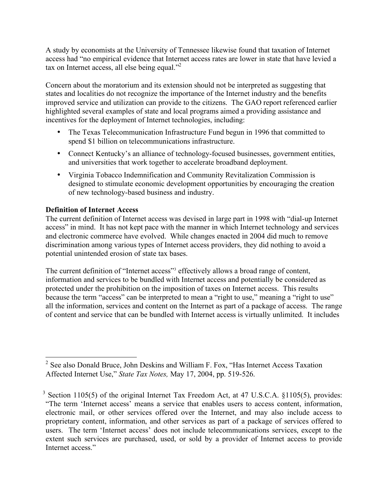A study by economists at the University of Tennessee likewise found that taxation of Internet access had "no empirical evidence that Internet access rates are lower in state that have levied a tax on Internet access, all else being equal."<sup>2</sup>

Concern about the moratorium and its extension should not be interpreted as suggesting that states and localities do not recognize the importance of the Internet industry and the benefits improved service and utilization can provide to the citizens. The GAO report referenced earlier highlighted several examples of state and local programs aimed a providing assistance and incentives for the deployment of Internet technologies, including:

- The Texas Telecommunication Infrastructure Fund begun in 1996 that committed to spend \$1 billion on telecommunications infrastructure.
- Connect Kentucky's an alliance of technology-focused businesses, government entities, and universities that work together to accelerate broadband deployment.
- Virginia Tobacco Indemnification and Community Revitalization Commission is designed to stimulate economic development opportunities by encouraging the creation of new technology-based business and industry.

## **Definition of Internet Access**

The current definition of Internet access was devised in large part in 1998 with "dial-up Internet access" in mind. It has not kept pace with the manner in which Internet technology and services and electronic commerce have evolved. While changes enacted in 2004 did much to remove discrimination among various types of Internet access providers, they did nothing to avoid a potential unintended erosion of state tax bases.

The current definition of "Internet access"<sup>3</sup> effectively allows a broad range of content, information and services to be bundled with Internet access and potentially be considered as protected under the prohibition on the imposition of taxes on Internet access. This results because the term "access" can be interpreted to mean a "right to use," meaning a "right to use" all the information, services and content on the Internet as part of a package of access. The range of content and service that can be bundled with Internet access is virtually unlimited. It includes

 <sup>2</sup> See also Donald Bruce, John Deskins and William F. Fox, "Has Internet Access Taxation Affected Internet Use," *State Tax Notes,* May 17, 2004, pp. 519-526.

 $3$  Section 1105(5) of the original Internet Tax Freedom Act, at 47 U.S.C.A. §1105(5), provides: "The term 'Internet access' means a service that enables users to access content, information, electronic mail, or other services offered over the Internet, and may also include access to proprietary content, information, and other services as part of a package of services offered to users. The term 'Internet access' does not include telecommunications services, except to the extent such services are purchased, used, or sold by a provider of Internet access to provide Internet access."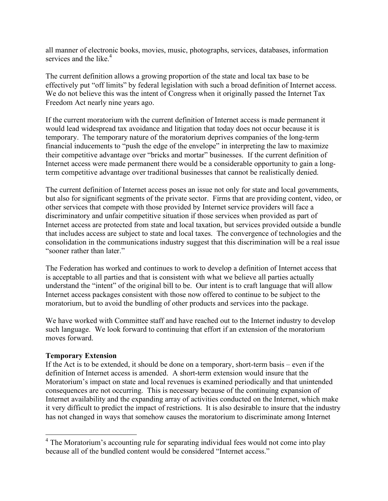all manner of electronic books, movies, music, photographs, services, databases, information services and the like.<sup>4</sup>

The current definition allows a growing proportion of the state and local tax base to be effectively put "off limits" by federal legislation with such a broad definition of Internet access. We do not believe this was the intent of Congress when it originally passed the Internet Tax Freedom Act nearly nine years ago.

If the current moratorium with the current definition of Internet access is made permanent it would lead widespread tax avoidance and litigation that today does not occur because it is temporary. The temporary nature of the moratorium deprives companies of the long-term financial inducements to "push the edge of the envelope" in interpreting the law to maximize their competitive advantage over "bricks and mortar" businesses. If the current definition of Internet access were made permanent there would be a considerable opportunity to gain a longterm competitive advantage over traditional businesses that cannot be realistically denied.

The current definition of Internet access poses an issue not only for state and local governments, but also for significant segments of the private sector. Firms that are providing content, video, or other services that compete with those provided by Internet service providers will face a discriminatory and unfair competitive situation if those services when provided as part of Internet access are protected from state and local taxation, but services provided outside a bundle that includes access are subject to state and local taxes. The convergence of technologies and the consolidation in the communications industry suggest that this discrimination will be a real issue "sooner rather than later."

The Federation has worked and continues to work to develop a definition of Internet access that is acceptable to all parties and that is consistent with what we believe all parties actually understand the "intent" of the original bill to be. Our intent is to craft language that will allow Internet access packages consistent with those now offered to continue to be subject to the moratorium, but to avoid the bundling of other products and services into the package.

We have worked with Committee staff and have reached out to the Internet industry to develop such language. We look forward to continuing that effort if an extension of the moratorium moves forward.

#### **Temporary Extension**

If the Act is to be extended, it should be done on a temporary, short-term basis – even if the definition of Internet access is amended. A short-term extension would insure that the Moratorium's impact on state and local revenues is examined periodically and that unintended consequences are not occurring. This is necessary because of the continuing expansion of Internet availability and the expanding array of activities conducted on the Internet, which make it very difficult to predict the impact of restrictions. It is also desirable to insure that the industry has not changed in ways that somehow causes the moratorium to discriminate among Internet

<sup>&</sup>lt;sup>4</sup> The Moratorium's accounting rule for separating individual fees would not come into play because all of the bundled content would be considered "Internet access."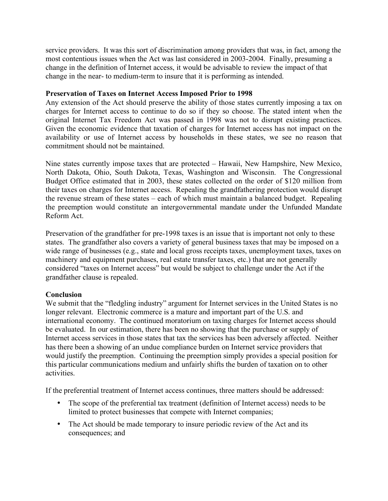service providers. It was this sort of discrimination among providers that was, in fact, among the most contentious issues when the Act was last considered in 2003-2004. Finally, presuming a change in the definition of Internet access, it would be advisable to review the impact of that change in the near- to medium-term to insure that it is performing as intended.

### **Preservation of Taxes on Internet Access Imposed Prior to 1998**

Any extension of the Act should preserve the ability of those states currently imposing a tax on charges for Internet access to continue to do so if they so choose. The stated intent when the original Internet Tax Freedom Act was passed in 1998 was not to disrupt existing practices. Given the economic evidence that taxation of charges for Internet access has not impact on the availability or use of Internet access by households in these states, we see no reason that commitment should not be maintained.

Nine states currently impose taxes that are protected – Hawaii, New Hampshire, New Mexico, North Dakota, Ohio, South Dakota, Texas, Washington and Wisconsin. The Congressional Budget Office estimated that in 2003, these states collected on the order of \$120 million from their taxes on charges for Internet access. Repealing the grandfathering protection would disrupt the revenue stream of these states – each of which must maintain a balanced budget. Repealing the preemption would constitute an intergovernmental mandate under the Unfunded Mandate Reform Act.

Preservation of the grandfather for pre-1998 taxes is an issue that is important not only to these states. The grandfather also covers a variety of general business taxes that may be imposed on a wide range of businesses (e.g., state and local gross receipts taxes, unemployment taxes, taxes on machinery and equipment purchases, real estate transfer taxes, etc.) that are not generally considered "taxes on Internet access" but would be subject to challenge under the Act if the grandfather clause is repealed.

#### **Conclusion**

We submit that the "fledgling industry" argument for Internet services in the United States is no longer relevant. Electronic commerce is a mature and important part of the U.S. and international economy. The continued moratorium on taxing charges for Internet access should be evaluated. In our estimation, there has been no showing that the purchase or supply of Internet access services in those states that tax the services has been adversely affected. Neither has there been a showing of an undue compliance burden on Internet service providers that would justify the preemption. Continuing the preemption simply provides a special position for this particular communications medium and unfairly shifts the burden of taxation on to other activities.

If the preferential treatment of Internet access continues, three matters should be addressed:

- The scope of the preferential tax treatment (definition of Internet access) needs to be limited to protect businesses that compete with Internet companies;
- The Act should be made temporary to insure periodic review of the Act and its consequences; and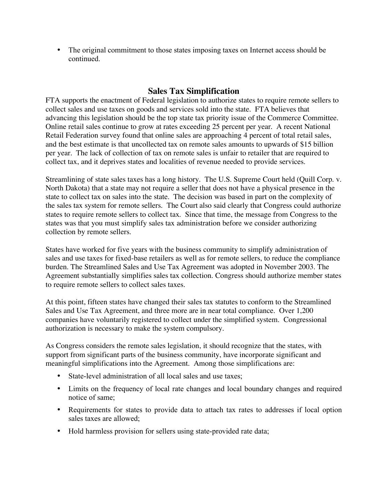• The original commitment to those states imposing taxes on Internet access should be continued.

# **Sales Tax Simplification**

FTA supports the enactment of Federal legislation to authorize states to require remote sellers to collect sales and use taxes on goods and services sold into the state. FTA believes that advancing this legislation should be the top state tax priority issue of the Commerce Committee. Online retail sales continue to grow at rates exceeding 25 percent per year. A recent National Retail Federation survey found that online sales are approaching 4 percent of total retail sales, and the best estimate is that uncollected tax on remote sales amounts to upwards of \$15 billion per year. The lack of collection of tax on remote sales is unfair to retailer that are required to collect tax, and it deprives states and localities of revenue needed to provide services.

Streamlining of state sales taxes has a long history. The U.S. Supreme Court held (Quill Corp. v. North Dakota) that a state may not require a seller that does not have a physical presence in the state to collect tax on sales into the state. The decision was based in part on the complexity of the sales tax system for remote sellers. The Court also said clearly that Congress could authorize states to require remote sellers to collect tax. Since that time, the message from Congress to the states was that you must simplify sales tax administration before we consider authorizing collection by remote sellers.

States have worked for five years with the business community to simplify administration of sales and use taxes for fixed-base retailers as well as for remote sellers, to reduce the compliance burden. The Streamlined Sales and Use Tax Agreement was adopted in November 2003. The Agreement substantially simplifies sales tax collection. Congress should authorize member states to require remote sellers to collect sales taxes.

At this point, fifteen states have changed their sales tax statutes to conform to the Streamlined Sales and Use Tax Agreement, and three more are in near total compliance. Over 1,200 companies have voluntarily registered to collect under the simplified system. Congressional authorization is necessary to make the system compulsory.

As Congress considers the remote sales legislation, it should recognize that the states, with support from significant parts of the business community, have incorporate significant and meaningful simplifications into the Agreement. Among those simplifications are:

- State-level administration of all local sales and use taxes;
- Limits on the frequency of local rate changes and local boundary changes and required notice of same;
- Requirements for states to provide data to attach tax rates to addresses if local option sales taxes are allowed;
- Hold harmless provision for sellers using state-provided rate data;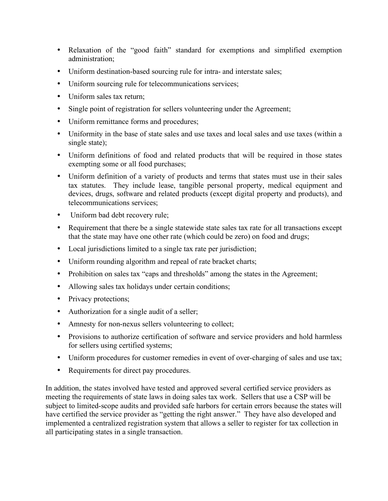- Relaxation of the "good faith" standard for exemptions and simplified exemption administration;
- Uniform destination-based sourcing rule for intra- and interstate sales;
- Uniform sourcing rule for telecommunications services;
- Uniform sales tax return;
- Single point of registration for sellers volunteering under the Agreement;
- Uniform remittance forms and procedures;
- Uniformity in the base of state sales and use taxes and local sales and use taxes (within a single state);
- Uniform definitions of food and related products that will be required in those states exempting some or all food purchases;
- Uniform definition of a variety of products and terms that states must use in their sales tax statutes. They include lease, tangible personal property, medical equipment and devices, drugs, software and related products (except digital property and products), and telecommunications services;
- Uniform bad debt recovery rule;
- Requirement that there be a single statewide state sales tax rate for all transactions except that the state may have one other rate (which could be zero) on food and drugs;
- Local jurisdictions limited to a single tax rate per jurisdiction;
- Uniform rounding algorithm and repeal of rate bracket charts;
- Prohibition on sales tax "caps and thresholds" among the states in the Agreement;
- Allowing sales tax holidays under certain conditions;
- Privacy protections;
- Authorization for a single audit of a seller;
- Amnesty for non-nexus sellers volunteering to collect;
- Provisions to authorize certification of software and service providers and hold harmless for sellers using certified systems;
- Uniform procedures for customer remedies in event of over-charging of sales and use tax;
- Requirements for direct pay procedures.

In addition, the states involved have tested and approved several certified service providers as meeting the requirements of state laws in doing sales tax work. Sellers that use a CSP will be subject to limited-scope audits and provided safe harbors for certain errors because the states will have certified the service provider as "getting the right answer." They have also developed and implemented a centralized registration system that allows a seller to register for tax collection in all participating states in a single transaction.